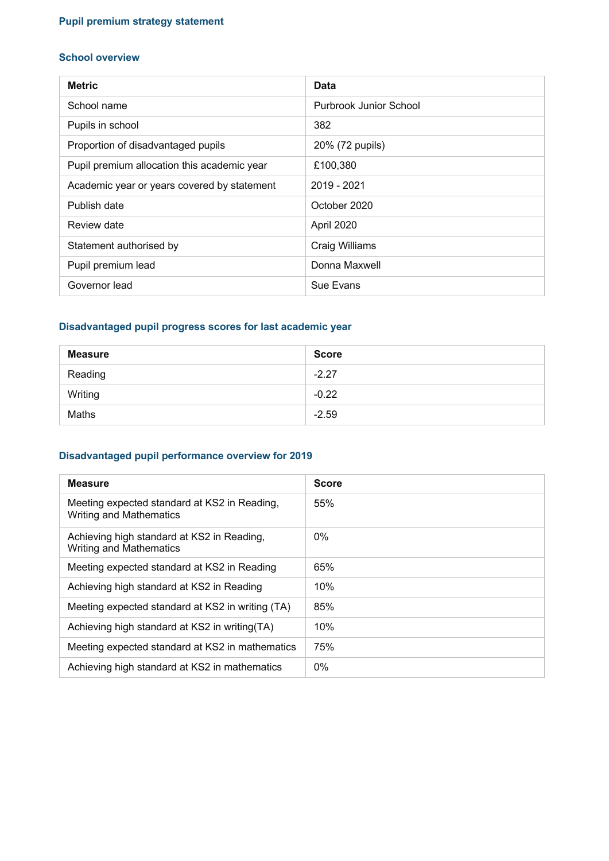# **Pupil premium strategy statement**

#### **School overview**

| <b>Metric</b>                               | Data                   |
|---------------------------------------------|------------------------|
| School name                                 | Purbrook Junior School |
| Pupils in school                            | 382                    |
| Proportion of disadvantaged pupils          | 20% (72 pupils)        |
| Pupil premium allocation this academic year | £100,380               |
| Academic year or years covered by statement | 2019 - 2021            |
| Publish date                                | October 2020           |
| Review date                                 | April 2020             |
| Statement authorised by                     | Craig Williams         |
| Pupil premium lead                          | Donna Maxwell          |
| Governor lead                               | Sue Evans              |

# **Disadvantaged pupil progress scores for last academic year**

| <b>Measure</b> | <b>Score</b> |
|----------------|--------------|
| Reading        | $-2.27$      |
| Writing        | $-0.22$      |
| Maths          | $-2.59$      |

#### **Disadvantaged pupil performance overview for 2019**

| <b>Measure</b>                                                                 | <b>Score</b> |
|--------------------------------------------------------------------------------|--------------|
| Meeting expected standard at KS2 in Reading,<br><b>Writing and Mathematics</b> | 55%          |
| Achieving high standard at KS2 in Reading,<br><b>Writing and Mathematics</b>   | $0\%$        |
| Meeting expected standard at KS2 in Reading                                    | 65%          |
| Achieving high standard at KS2 in Reading                                      | 10%          |
| Meeting expected standard at KS2 in writing (TA)                               | 85%          |
| Achieving high standard at KS2 in writing (TA)                                 | 10%          |
| Meeting expected standard at KS2 in mathematics                                | 75%          |
| Achieving high standard at KS2 in mathematics                                  | $0\%$        |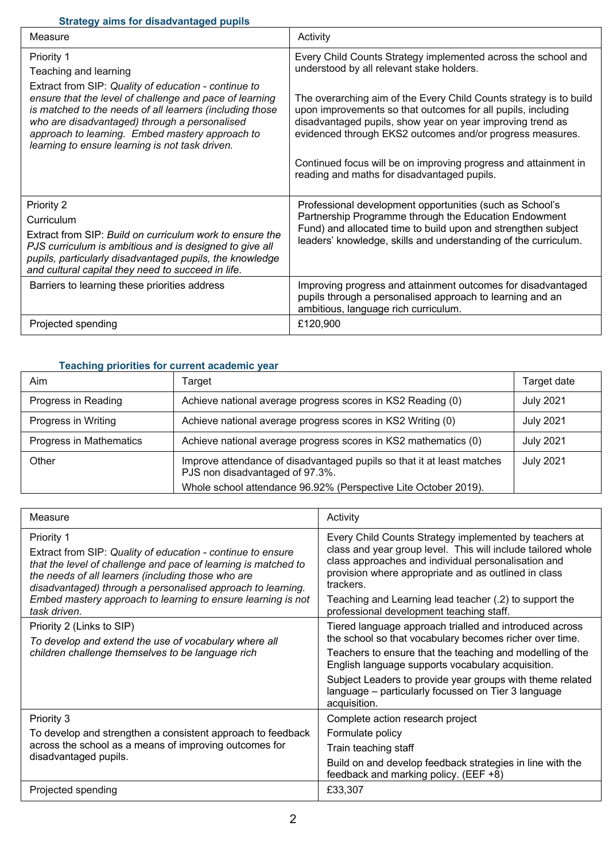### **Strategy aims for disadvantaged pupils**

| onalogy anno for albaavanlaged paplio<br>Measure                                                                                                                                                                                                                                                                                   | Activity                                                                                                                                                                                                                                                      |
|------------------------------------------------------------------------------------------------------------------------------------------------------------------------------------------------------------------------------------------------------------------------------------------------------------------------------------|---------------------------------------------------------------------------------------------------------------------------------------------------------------------------------------------------------------------------------------------------------------|
|                                                                                                                                                                                                                                                                                                                                    |                                                                                                                                                                                                                                                               |
| Priority 1                                                                                                                                                                                                                                                                                                                         | Every Child Counts Strategy implemented across the school and                                                                                                                                                                                                 |
| Teaching and learning                                                                                                                                                                                                                                                                                                              | understood by all relevant stake holders.                                                                                                                                                                                                                     |
| Extract from SIP: Quality of education - continue to<br>ensure that the level of challenge and pace of learning<br>is matched to the needs of all learners (including those<br>who are disadvantaged) through a personalised<br>approach to learning. Embed mastery approach to<br>learning to ensure learning is not task driven. | The overarching aim of the Every Child Counts strategy is to build<br>upon improvements so that outcomes for all pupils, including<br>disadvantaged pupils, show year on year improving trend as<br>evidenced through EKS2 outcomes and/or progress measures. |
|                                                                                                                                                                                                                                                                                                                                    | Continued focus will be on improving progress and attainment in<br>reading and maths for disadvantaged pupils.                                                                                                                                                |
| Priority 2                                                                                                                                                                                                                                                                                                                         | Professional development opportunities (such as School's                                                                                                                                                                                                      |
| Curriculum                                                                                                                                                                                                                                                                                                                         | Partnership Programme through the Education Endowment                                                                                                                                                                                                         |
| Extract from SIP: Build on curriculum work to ensure the<br>PJS curriculum is ambitious and is designed to give all<br>pupils, particularly disadvantaged pupils, the knowledge<br>and cultural capital they need to succeed in life.                                                                                              | Fund) and allocated time to build upon and strengthen subject<br>leaders' knowledge, skills and understanding of the curriculum.                                                                                                                              |
| Barriers to learning these priorities address                                                                                                                                                                                                                                                                                      | Improving progress and attainment outcomes for disadvantaged<br>pupils through a personalised approach to learning and an<br>ambitious, language rich curriculum.                                                                                             |
| Projected spending                                                                                                                                                                                                                                                                                                                 | £120,900                                                                                                                                                                                                                                                      |

#### **Teaching priorities for current academic year**

| Aim                     | Target                                                                                                                                                                       | Target date      |
|-------------------------|------------------------------------------------------------------------------------------------------------------------------------------------------------------------------|------------------|
| Progress in Reading     | Achieve national average progress scores in KS2 Reading (0)                                                                                                                  | <b>July 2021</b> |
| Progress in Writing     | Achieve national average progress scores in KS2 Writing (0)                                                                                                                  | <b>July 2021</b> |
| Progress in Mathematics | Achieve national average progress scores in KS2 mathematics (0)                                                                                                              | <b>July 2021</b> |
| Other                   | Improve attendance of disadvantaged pupils so that it at least matches<br>PJS non disadvantaged of 97.3%.<br>Whole school attendance 96.92% (Perspective Lite October 2019). | <b>July 2021</b> |

| Measure                                                                                                                                                                                                                                                                                                                                          | Activity                                                                                                                                                                                                                                                                                                                                                                 |
|--------------------------------------------------------------------------------------------------------------------------------------------------------------------------------------------------------------------------------------------------------------------------------------------------------------------------------------------------|--------------------------------------------------------------------------------------------------------------------------------------------------------------------------------------------------------------------------------------------------------------------------------------------------------------------------------------------------------------------------|
| Priority 1<br>Extract from SIP: Quality of education - continue to ensure<br>that the level of challenge and pace of learning is matched to<br>the needs of all learners (including those who are<br>disadvantaged) through a personalised approach to learning.<br>Embed mastery approach to learning to ensure learning is not<br>task driven. | Every Child Counts Strategy implemented by teachers at<br>class and year group level. This will include tailored whole<br>class approaches and individual personalisation and<br>provision where appropriate and as outlined in class<br>trackers.<br>Teaching and Learning lead teacher (.2) to support the<br>professional development teaching staff.                 |
| Priority 2 (Links to SIP)<br>To develop and extend the use of vocabulary where all<br>children challenge themselves to be language rich                                                                                                                                                                                                          | Tiered language approach trialled and introduced across<br>the school so that vocabulary becomes richer over time.<br>Teachers to ensure that the teaching and modelling of the<br>English language supports vocabulary acquisition.<br>Subject Leaders to provide year groups with theme related<br>language - particularly focussed on Tier 3 language<br>acquisition. |
| Priority 3<br>To develop and strengthen a consistent approach to feedback<br>across the school as a means of improving outcomes for<br>disadvantaged pupils.                                                                                                                                                                                     | Complete action research project<br>Formulate policy<br>Train teaching staff<br>Build on and develop feedback strategies in line with the<br>feedback and marking policy. (EEF +8)                                                                                                                                                                                       |
| Projected spending                                                                                                                                                                                                                                                                                                                               | £33,307                                                                                                                                                                                                                                                                                                                                                                  |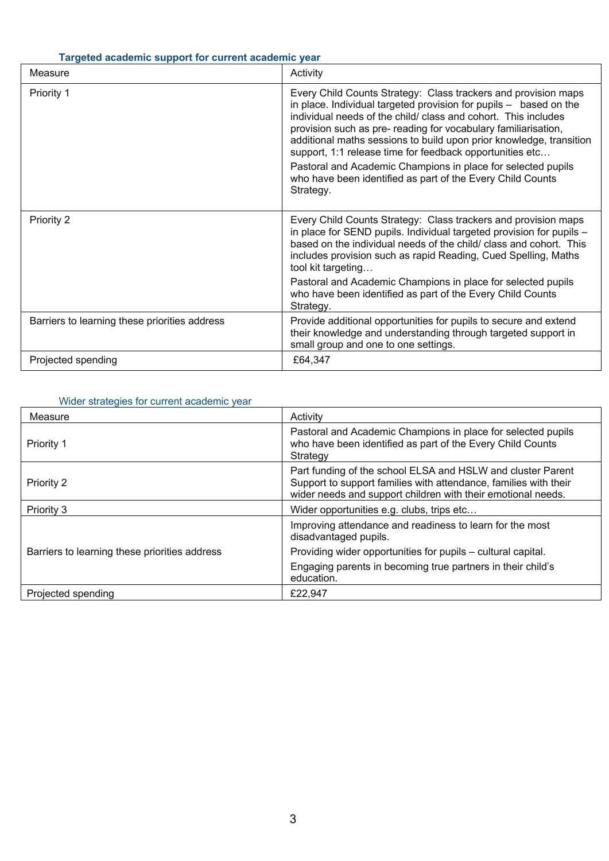# **Targeted academic support for current academic year**

| Measure                                       | Activity                                                                                                                                                                                                                                                                                                                                                                                                                                                                                                                                              |
|-----------------------------------------------|-------------------------------------------------------------------------------------------------------------------------------------------------------------------------------------------------------------------------------------------------------------------------------------------------------------------------------------------------------------------------------------------------------------------------------------------------------------------------------------------------------------------------------------------------------|
| Priority 1                                    | Every Child Counts Strategy: Class trackers and provision maps<br>in place. Individual targeted provision for pupils - based on the<br>individual needs of the child/ class and cohort. This includes<br>provision such as pre- reading for vocabulary familiarisation,<br>additional maths sessions to build upon prior knowledge, transition<br>support, 1:1 release time for feedback opportunities etc<br>Pastoral and Academic Champions in place for selected pupils<br>who have been identified as part of the Every Child Counts<br>Strategy. |
| Priority 2                                    | Every Child Counts Strategy: Class trackers and provision maps<br>in place for SEND pupils. Individual targeted provision for pupils -<br>based on the individual needs of the child/ class and cohort. This<br>includes provision such as rapid Reading, Cued Spelling, Maths<br>tool kit targeting<br>Pastoral and Academic Champions in place for selected pupils<br>who have been identified as part of the Every Child Counts                                                                                                                    |
|                                               | Strategy.                                                                                                                                                                                                                                                                                                                                                                                                                                                                                                                                             |
| Barriers to learning these priorities address | Provide additional opportunities for pupils to secure and extend<br>their knowledge and understanding through targeted support in<br>small group and one to one settings.                                                                                                                                                                                                                                                                                                                                                                             |
| Projected spending                            | £64,347                                                                                                                                                                                                                                                                                                                                                                                                                                                                                                                                               |

# Wider strategies for current academic year

| Measure                                       | Activity                                                                                                                                                                                        |
|-----------------------------------------------|-------------------------------------------------------------------------------------------------------------------------------------------------------------------------------------------------|
| Priority 1                                    | Pastoral and Academic Champions in place for selected pupils<br>who have been identified as part of the Every Child Counts<br>Strategy                                                          |
| Priority 2                                    | Part funding of the school ELSA and HSLW and cluster Parent<br>Support to support families with attendance, families with their<br>wider needs and support children with their emotional needs. |
| Priority 3                                    | Wider opportunities e.g. clubs, trips etc                                                                                                                                                       |
| Barriers to learning these priorities address | Improving attendance and readiness to learn for the most<br>disadvantaged pupils.                                                                                                               |
|                                               | Providing wider opportunities for pupils – cultural capital.                                                                                                                                    |
|                                               | Engaging parents in becoming true partners in their child's<br>education.                                                                                                                       |
| Projected spending                            | £22,947                                                                                                                                                                                         |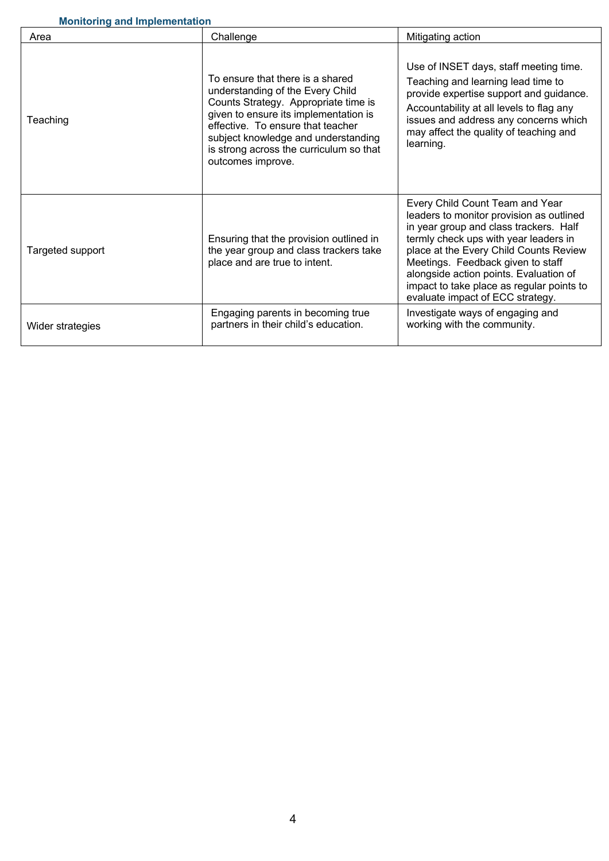| Area             | Challenge                                                                                                                                                                                                                                                                                         | Mitigating action                                                                                                                                                                                                                                                                                                                                                        |
|------------------|---------------------------------------------------------------------------------------------------------------------------------------------------------------------------------------------------------------------------------------------------------------------------------------------------|--------------------------------------------------------------------------------------------------------------------------------------------------------------------------------------------------------------------------------------------------------------------------------------------------------------------------------------------------------------------------|
| Teaching         | To ensure that there is a shared<br>understanding of the Every Child<br>Counts Strategy. Appropriate time is<br>given to ensure its implementation is<br>effective. To ensure that teacher<br>subject knowledge and understanding<br>is strong across the curriculum so that<br>outcomes improve. | Use of INSET days, staff meeting time.<br>Teaching and learning lead time to<br>provide expertise support and guidance.<br>Accountability at all levels to flag any<br>issues and address any concerns which<br>may affect the quality of teaching and<br>learning.                                                                                                      |
| Targeted support | Ensuring that the provision outlined in<br>the year group and class trackers take<br>place and are true to intent.                                                                                                                                                                                | Every Child Count Team and Year<br>leaders to monitor provision as outlined<br>in year group and class trackers. Half<br>termly check ups with year leaders in<br>place at the Every Child Counts Review<br>Meetings. Feedback given to staff<br>alongside action points. Evaluation of<br>impact to take place as regular points to<br>evaluate impact of ECC strategy. |
| Wider strategies | Engaging parents in becoming true<br>partners in their child's education.                                                                                                                                                                                                                         | Investigate ways of engaging and<br>working with the community.                                                                                                                                                                                                                                                                                                          |